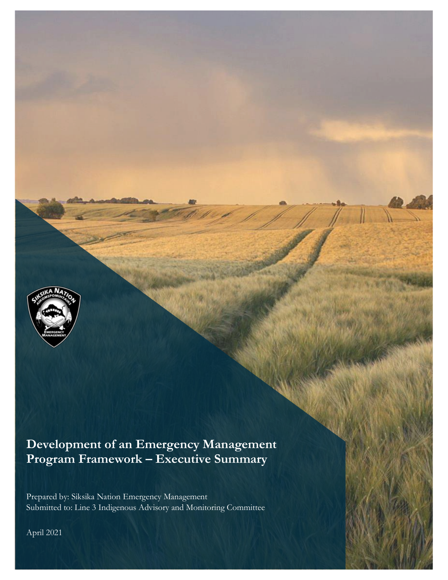

# **Development of an Emergency Management Program Framework – Executive Summary**

Prepared by: Siksika Nation Emergency Management Submitted to: Line 3 Indigenous Advisory and Monitoring Committee

April 2021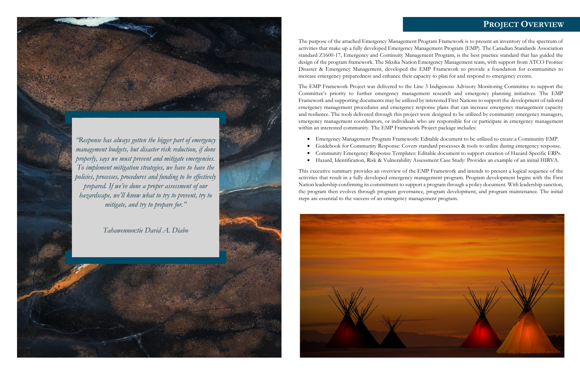The purpose of the attached Emergency Management Program Framework is to present an inventory of the spectrum of activities that make up a fully developed Emergency Management Program (EMP). The Canadian Standards Association standard Z1600-17, Emergency and Continuity Management Program, is the best practice standard that has guided the design of the program framework. The Siksika Nation Emergency Management team, with support from ATCO Frontec Disaster & Emergency Management, developed the EMP Framework to provide a foundation for communities to increase emergency preparedness and enhance their capacity to plan for and respond to emergency events.

The EMP Framework Project was delivered to the Line 3 Indigenous Advisory Monitoring Committee to support the Committee's priority to further emergency management research and emergency planning initiatives. The EMP Framework and supporting documents may be utilized by interested First Nations to support the development of tailored emergency management procedures and emergency response plans that can increase emergency management capacity and resilience. The tools delivered through this project were designed to be utilized by community emergency managers, emergency management coordinators, or individuals who are responsible for or participate in emergency management within an interested community. The EMP Framework Project package includes:

- 
- 
- 
- 

Emergency Management Program Framework: Editable document to be utilized to create a Community EMP. Guidebook for Community Response: Covers standard processes & tools to utilize during emergency response. Community Emergency Response Templates: Editable document to support creation of Hazard-Specific ERPs. Hazard, Identification, Risk & Vulnerability Assessment Case Study: Provides an example of an initial HIRVA.

This executive summary provides an overview of the EMP Framework and intends to present a logical sequence of the activities that result in a fully developed emergency management program. Program development begins with the First Nation leadership confirming its commitment to support a program through a policy document. With leadership sanction, the program then evolves through program governance, program development, and program maintenance. The initial steps are essential to the success of an emergency management program.



### **PROJECT OVERVIEW**

*"Response has always gotten the bigger part of emergency management budgets, but disaster risk reduction, if done properly, says we must prevent and mitigate emergencies. To implement mitigation strategies, we have to have the policies, processes, procedures and funding to be effectively prepared. If we've done a proper assessment of our hazardscape, we'll know what to try to prevent, try to mitigate, and try to prepare for."*

*Tahawennon:tie David A. Diabo*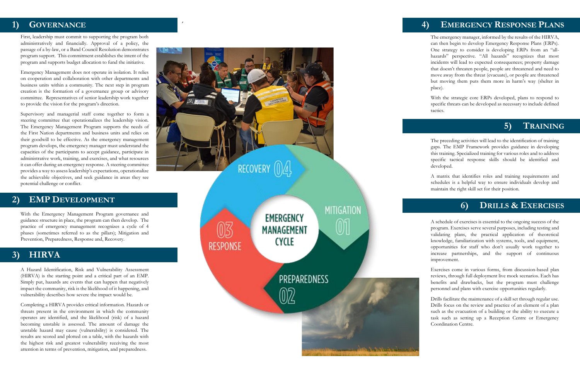### , **1) GOVERNANCE**

First, leadership must commit to supporting the program both administratively and financially. Approval of a policy, the passage of a by -law, or a Band Council Resolution demonstrate s program support. This commitment establishes the intent of the program and supports budget allocation to fund the initiative.

Emergency Management does not operate in isolation. It relies on cooperation and collaboration with other departments and business units within a community. The next step in program creation is the formation of a governance group or advisory committee. Representatives of senior leadership work together to provide the vision for the program's direction.

Supervisory and managerial staff come together to form a steering committee that operationalizes the leadership vision. The Emergency Management Program supports the needs of the First Nation departments and business units and relies on their goodwill to be effective. As the emergency management program develops, the emergency manager must understand the capacities of the participants to accept guidance, participate in administrative work, training, and exercises, and what resources it can offer during an emergency response. A steering committee provides a way to assess leadership's expectations, operationalize the achievable objectives, and seek guidance in areas they see potential challenge or conflict.

With the Emergency Management Program governance and guidance structure in place, the program can then develop. The practice of emergency management recognizes a cycle of 4 phases (sometimes referred to as the pillars); Mitigation and Prevention, Preparedness, Response and, Recovery.

A Hazard Identification, Risk and Vulnerability Assessment (HIRVA) is the starting point and a critical part of an EMP. Simply put, hazards are events that can happen that negatively impact the community, risk is the likelihood of it happening, and vulnerability describes how severe the impact would be.

Completing a HIRVA provides critical information. Hazards or threats present in the environment in which the community operates are identified, and the likelihood (risk) of a hazard becoming unstable is assessed. The amount of damage the unstable hazard may cause (vulnerability) is considered. The results are scored and plotted on a table, with the hazards with the highest risk and greatest vulnerability receiving the most attention in terms of prevention, mitigation, and preparedness.



**MITIGATION EMERGENCY MANAGEMENT CYCLE RESPONSE** PREPAREDNESS 02

The emergency manager, informed by the results of the HIRVA, can then begin to develop Emergency Response Plans (ERPs). One strategy to consider is developing ERPs from an "all hazards" perspective. "All hazards" recognizes that most incidents will lead to expected consequences; property damage that doesn't threaten people, people are threatened and need to move away from the threat (evacuate), or people are threatened but moving them puts them more in harm's way (shelter in place).

With the strategic core ERPs developed, plans to respond to specific threats can be developed as necessary to include defined tactics.

The preceding activities will lead to the identification of training gaps. The EMP Framework provide s guidance in developing this training. Specialized training for various roles and to address specific tactical response skills should be identified and developed.

A matrix that identifies roles and training requirements and schedules is a helpful way to ensure individuals develop and maintain the right skill set for their position.

A schedule of exercises is essential to the ongoing success of the program. Exercises serve several purposes, including testing and validating plans, the practical application of theoretical knowledge, familiarization with systems, tools, and equipment, opportunities for staff who don't usually work together to increase partnerships, and the support of continuous improvement.

Exercises come in various forms, from discussion -based plan reviews, through full deployment live mock scenarios. Each has benefits and drawbacks, but the program must challenge personnel and plans with exercise opportunities regularly.

Drills facilitate the maintenance of a skill set through regular use. Drills focus on the review and practice of an element of a plan such as the evacuation of a building or the ability to execute a task such as setting up a Reception Centre or Emergency Coordination Centre.

### **2) EMP DEVELOPMENT**

### **3) HIRVA**

## **EMERGENCY RESPONSE PLANS**

#### **5) TRAINING**

#### **6) DRILLS & EXERCISES**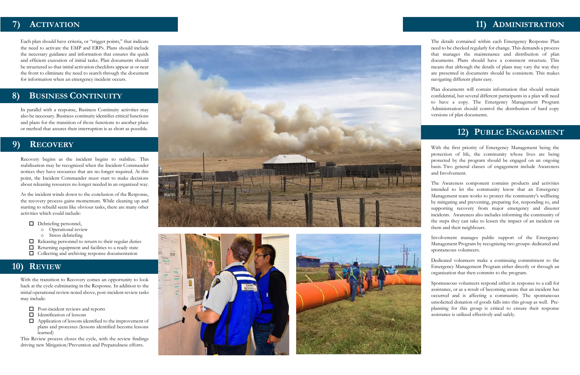The details contained within each Emergency Response Plan need to be checked regularly for change. This demands a process that manages the maintenance and distribution of plan documents. Plans should have a consistent structure. This means that althoug h the details of plans may vary the way they are presented in documents should be consistent. This makes navigating different plans easy.

Plan documents will contain information that should remain confidential, but several different participants in a plan will need to have a copy. The Emergency Management Program Administration should control the distribution of hard copy versions of plan documents.

With the first priority of Emergency Management being the protection of life, the community whose lives are being protected by the program should be engaged on an ongoing basis . Two general classes of engagement include Awareness and Involvement.

The Awareness component contains products and activities intended to let the community know that an Emergency Management team works to protect the community's wellbeing by mitigating and preventing, preparing for, responding to, and supporting recovery from major emergency and disaster incidents. Awareness also includes informing the community of the steps they can take to lessen the impact of an incident on them and their neighbours.

Involvement manages public support of the Emergency Management Program by recognizing two groups: dedicated and spontaneous volunteers.

Dedicated volunteers make a continuing commitment to the Emergency Management Program either directly or through an organization that then commits to the program.

Spontaneous volunteers respond either in response to a call for assistance, or as a result of becoming aware that an incident has occurred and is affecting a community. The spontaneous unsolicited donation of goods falls into this group as well. Pre planning for this group is critical to ensure their response assistance is utilized effectively and safely.

Each plan should have criteria, or "trigger points," that indicate the need to activate the EMP and ERPs. Plans should include the necessary guidance and information that ensures the quick and efficient execution of initial tasks. Plan documents should be structured so that initial activation checklists appear at or near the front to eliminate the need to search through the document for information when an emergency incident occurs .

In parallel with a response, Business Continuity activities may also be necessary. Business continuity identifies critical functions and plans for the transition of those functions to another place or method that assures their interruption is as short as possible.

Recovery begins as the incident begins to stabilize. This stabilization may be recognized when the Incident Commander notices they have resources that are no longer required. At this point, the Incident Commander must start to make decisions about releasing resources no longer needed in an organized way.

As the incident winds down to the conclusion of the Response, the recovery process gains momentum. While cleaning up and starting to rebuild seem like obvious tasks, there are many other activities which could include:

- Debriefing personnel,
	- o Operational review
	- o Stress debriefing
- $\Box$ Releasing personnel to return to their regular duties
- $\Box$ Returning equipment and facilities to a ready state
- $\Box$  Collecting and archiving response documentation

With the transition to Recovery comes an opportunity to look back at the cycle culminating in the Response. In addition to the initial operational review noted above, post -incident review tasks may include:

- Post -incident reviews and reports
- $\Box$ Identification of lessons
- $\Box$ Application of lessons identified to the improvement of plans and processes (lessons identified become lessons learned)

This Review process closes the cycle, with the review findings driving new Mitigation/Prevention and Preparedness efforts.







#### **7) ACTIVATION**

#### **8) BUSINESS CONTINUITY**

#### **9) RECOVERY**

## **10) REVIEW**

### **11) ADMINISTRATION**

### **12) PUBLIC ENGAGEMENT**